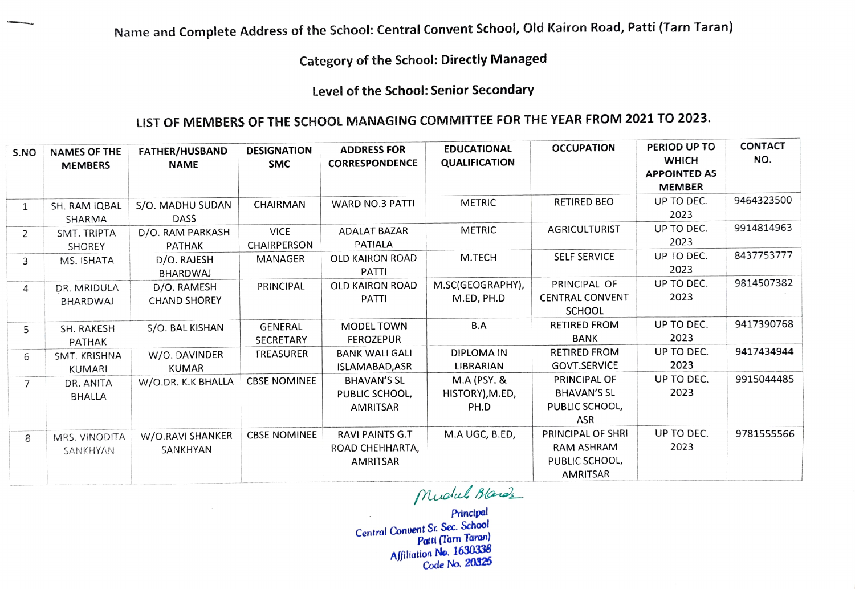Category of the School: Directly Managed

Level of the School: Senior Secondary

## LIST OF MEMBERS OF THE SCH0OL MANAGING COMMITTEE FOR THE YEAR FROM 2021 TO 2023.

| S.NO           | <b>NAMES OF THE</b><br><b>MEMBERS</b> | FATHER/HUSBAND<br><b>NAME</b>      | <b>DESIGNATION</b><br><b>SMC</b>  | <b>ADDRESS FOR</b><br><b>CORRESPONDENCE</b>           | <b>EDUCATIONAL</b><br><b>QUALIFICATION</b>        | <b>OCCUPATION</b>                                                    | PERIOD UP TO<br><b>WHICH</b><br><b>APPOINTED AS</b><br><b>MEMBER</b> | <b>CONTACT</b><br>NO. |
|----------------|---------------------------------------|------------------------------------|-----------------------------------|-------------------------------------------------------|---------------------------------------------------|----------------------------------------------------------------------|----------------------------------------------------------------------|-----------------------|
| $\mathbf{1}$   | SH. RAM IQBAL<br>SHARMA               | S/O. MADHU SUDAN<br><b>DASS</b>    | CHAIRMAN                          | <b>WARD NO.3 PATTI</b>                                | <b>METRIC</b>                                     | <b>RETIRED BEO</b>                                                   | UP TO DEC.<br>2023                                                   | 9464323500            |
| 2              | SMT. TRIPTA<br><b>SHOREY</b>          | D/O. RAM PARKASH<br>PATHAK         | <b>VICE</b><br><b>CHAIRPERSON</b> | <b>ADALAT BAZAR</b><br>PATIALA                        | <b>METRIC</b>                                     | <b>AGRICULTURIST</b>                                                 | UP TO DEC.<br>2023                                                   | 9914814963            |
| 3              | MS. ISHATA                            | D/O. RAJESH<br><b>BHARDWAJ</b>     | <b>MANAGER</b>                    | OLD KAIRON ROAD<br>PATTI                              | M.TECH                                            | <b>SELF SERVICE</b>                                                  | UP TO DEC.<br>2023                                                   | 8437753777            |
| 4              | DR. MRIDULA<br><b>BHARDWAJ</b>        | D/O. RAMESH<br><b>CHAND SHOREY</b> | PRINCIPAL                         | <b>OLD KAIRON ROAD</b><br>PATTI                       | M.SC(GEOGRAPHY),<br>M.ED, PH.D                    | PRINCIPAL OF<br><b>CENTRAL CONVENT</b><br><b>SCHOOL</b>              | UP TO DEC.<br>2023                                                   | 9814507382            |
| 5              | SH. RAKESH<br><b>PATHAK</b>           | S/O. BAL KISHAN                    | <b>GENERAL</b><br>SECRETARY       | MODEL TOWN<br><b>FEROZEPUR</b>                        | B.A                                               | <b>RETIRED FROM</b><br><b>BANK</b>                                   | UP TO DEC.<br>2023                                                   | 9417390768            |
| 6              | SMT. KRISHNA<br><b>KUMARI</b>         | W/O. DAVINDER<br><b>KUMAR</b>      | TREASURER                         | <b>BANK WALI GALI</b><br>ISLAMABAD, ASR               | DIPLOMA IN<br>LIBRARIAN                           | <b>RETIRED FROM</b><br><b>GOVT.SERVICE</b>                           | UP TO DEC.<br>2023                                                   | 9417434944            |
| $\overline{7}$ | DR. ANITA<br><b>BHALLA</b>            | W/O.DR. K.K BHALLA                 | <b>CBSE NOMINEE</b>               | <b>BHAVAN'S SL</b><br>PUBLIC SCHOOL,<br>AMRITSAR      | <b>M.A (PSY. &amp;</b><br>HISTORY), M.ED,<br>PH.D | PRINCIPAL OF<br><b>BHAVAN'S SL</b><br>PUBLIC SCHOOL,<br>ASR          | UP TO DEC.<br>2023                                                   | 9915044485            |
| 8              | MRS. VINODITA<br>SANKHYAN             | W/O.RAVI SHANKER<br>SANKHYAN       | <b>CBSE NOMINEE</b>               | <b>RAVI PAINTS G.T</b><br>ROAD CHEHHARTA,<br>AMRITSAR | M.A UGC, B.ED,                                    | PRINCIPAL OF SHRI<br><b>RAM ASHRAM</b><br>PUBLIC SCHOOL,<br>AMRITSAR | UP TO DEC.<br>2023                                                   | 9781555566            |

Muolal Ba

Principal Central Convent Sr. Sec. School Patti (Tarn Taran) Afiliation No. 1630338 Code No. 20325